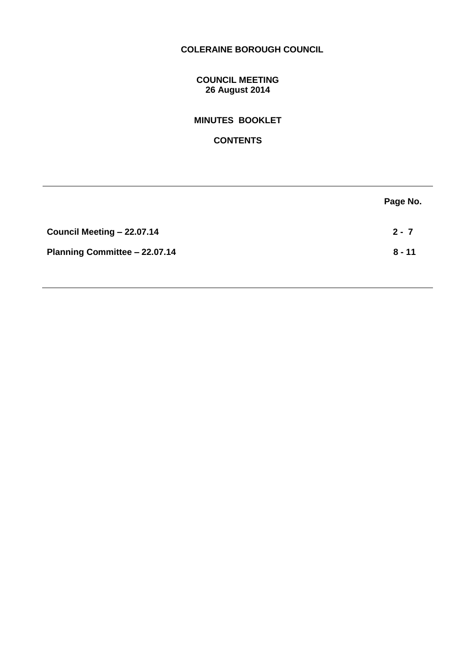# **COLERAINE BOROUGH COUNCIL**

# **COUNCIL MEETING 26 August 2014**

# **MINUTES BOOKLET**

# **CONTENTS**

|                               | Page No. |
|-------------------------------|----------|
| Council Meeting - 22.07.14    | $2 - 7$  |
| Planning Committee - 22.07.14 | $8 - 11$ |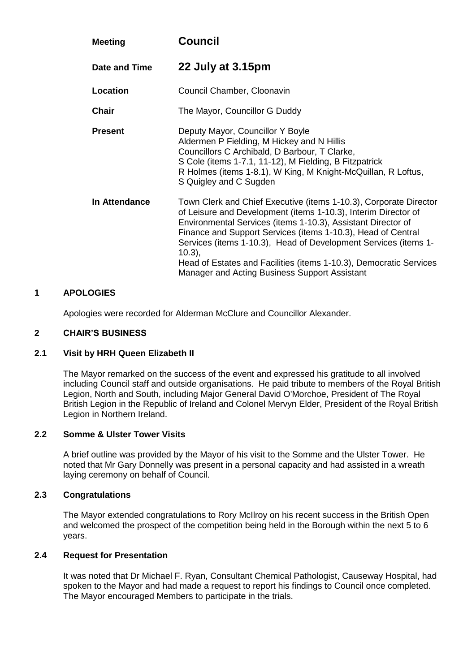| <b>Meeting</b> | <b>Council</b>                                                                                                                                                                                                                                                                                                                                                                                                                                                            |
|----------------|---------------------------------------------------------------------------------------------------------------------------------------------------------------------------------------------------------------------------------------------------------------------------------------------------------------------------------------------------------------------------------------------------------------------------------------------------------------------------|
| Date and Time  | 22 July at 3.15pm                                                                                                                                                                                                                                                                                                                                                                                                                                                         |
| Location       | Council Chamber, Cloonavin                                                                                                                                                                                                                                                                                                                                                                                                                                                |
| <b>Chair</b>   | The Mayor, Councillor G Duddy                                                                                                                                                                                                                                                                                                                                                                                                                                             |
| <b>Present</b> | Deputy Mayor, Councillor Y Boyle<br>Aldermen P Fielding, M Hickey and N Hillis<br>Councillors C Archibald, D Barbour, T Clarke,<br>S Cole (items 1-7.1, 11-12), M Fielding, B Fitzpatrick<br>R Holmes (items 1-8.1), W King, M Knight-McQuillan, R Loftus,<br>S Quigley and C Sugden                                                                                                                                                                                      |
| In Attendance  | Town Clerk and Chief Executive (items 1-10.3), Corporate Director<br>of Leisure and Development (items 1-10.3), Interim Director of<br>Environmental Services (items 1-10.3), Assistant Director of<br>Finance and Support Services (items 1-10.3), Head of Central<br>Services (items 1-10.3), Head of Development Services (items 1-<br>$10.3$ ,<br>Head of Estates and Facilities (items 1-10.3), Democratic Services<br>Manager and Acting Business Support Assistant |

# **1 APOLOGIES**

Apologies were recorded for Alderman McClure and Councillor Alexander.

#### **2 CHAIR'S BUSINESS**

## **2.1 Visit by HRH Queen Elizabeth II**

The Mayor remarked on the success of the event and expressed his gratitude to all involved including Council staff and outside organisations. He paid tribute to members of the Royal British Legion, North and South, including Major General David O'Morchoe, President of The Royal British Legion in the Republic of Ireland and Colonel Mervyn Elder, President of the Royal British Legion in Northern Ireland.

## **2.2 Somme & Ulster Tower Visits**

A brief outline was provided by the Mayor of his visit to the Somme and the Ulster Tower. He noted that Mr Gary Donnelly was present in a personal capacity and had assisted in a wreath laying ceremony on behalf of Council.

# **2.3 Congratulations**

The Mayor extended congratulations to Rory McIlroy on his recent success in the British Open and welcomed the prospect of the competition being held in the Borough within the next 5 to 6 years.

# **2.4 Request for Presentation**

It was noted that Dr Michael F. Ryan, Consultant Chemical Pathologist, Causeway Hospital, had spoken to the Mayor and had made a request to report his findings to Council once completed. The Mayor encouraged Members to participate in the trials.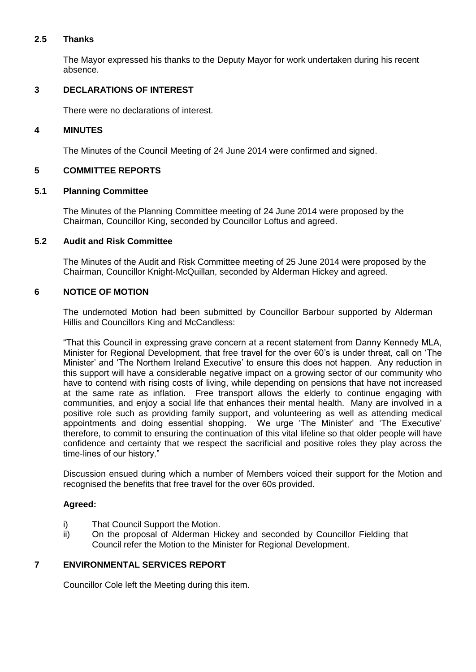# **2.5 Thanks**

The Mayor expressed his thanks to the Deputy Mayor for work undertaken during his recent absence.

# **3 DECLARATIONS OF INTEREST**

There were no declarations of interest.

## **4 MINUTES**

The Minutes of the Council Meeting of 24 June 2014 were confirmed and signed.

# **5 COMMITTEE REPORTS**

#### **5.1 Planning Committee**

The Minutes of the Planning Committee meeting of 24 June 2014 were proposed by the Chairman, Councillor King, seconded by Councillor Loftus and agreed.

# **5.2 Audit and Risk Committee**

The Minutes of the Audit and Risk Committee meeting of 25 June 2014 were proposed by the Chairman, Councillor Knight-McQuillan, seconded by Alderman Hickey and agreed.

# **6 NOTICE OF MOTION**

The undernoted Motion had been submitted by Councillor Barbour supported by Alderman Hillis and Councillors King and McCandless:

"That this Council in expressing grave concern at a recent statement from Danny Kennedy MLA, Minister for Regional Development, that free travel for the over 60's is under threat, call on 'The Minister' and 'The Northern Ireland Executive' to ensure this does not happen. Any reduction in this support will have a considerable negative impact on a growing sector of our community who have to contend with rising costs of living, while depending on pensions that have not increased at the same rate as inflation. Free transport allows the elderly to continue engaging with communities, and enjoy a social life that enhances their mental health. Many are involved in a positive role such as providing family support, and volunteering as well as attending medical appointments and doing essential shopping. We urge 'The Minister' and 'The Executive' therefore, to commit to ensuring the continuation of this vital lifeline so that older people will have confidence and certainty that we respect the sacrificial and positive roles they play across the time-lines of our history."

Discussion ensued during which a number of Members voiced their support for the Motion and recognised the benefits that free travel for the over 60s provided.

# **Agreed:**

- i) That Council Support the Motion.
- ii) On the proposal of Alderman Hickey and seconded by Councillor Fielding that Council refer the Motion to the Minister for Regional Development.

# **7 ENVIRONMENTAL SERVICES REPORT**

Councillor Cole left the Meeting during this item.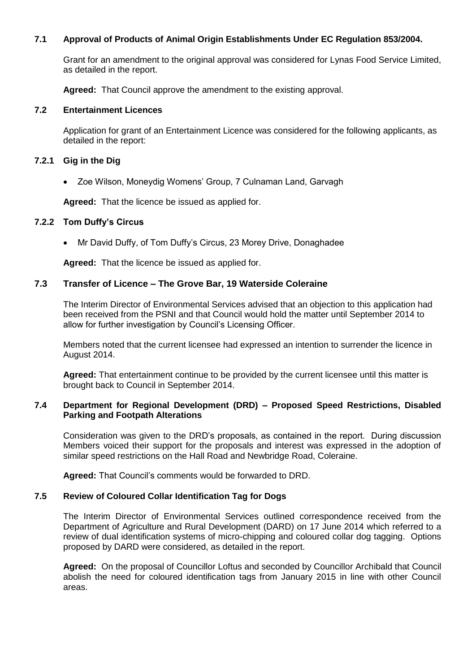# **7.1 Approval of Products of Animal Origin Establishments Under EC Regulation 853/2004.**

Grant for an amendment to the original approval was considered for Lynas Food Service Limited, as detailed in the report.

**Agreed:** That Council approve the amendment to the existing approval.

#### **7.2 Entertainment Licences**

Application for grant of an Entertainment Licence was considered for the following applicants, as detailed in the report:

## **7.2.1 Gig in the Dig**

Zoe Wilson, Moneydig Womens' Group, 7 Culnaman Land, Garvagh

**Agreed:** That the licence be issued as applied for.

#### **7.2.2 Tom Duffy's Circus**

Mr David Duffy, of Tom Duffy's Circus, 23 Morey Drive, Donaghadee

**Agreed:** That the licence be issued as applied for.

### **7.3 Transfer of Licence – The Grove Bar, 19 Waterside Coleraine**

The Interim Director of Environmental Services advised that an objection to this application had been received from the PSNI and that Council would hold the matter until September 2014 to allow for further investigation by Council's Licensing Officer.

Members noted that the current licensee had expressed an intention to surrender the licence in August 2014.

**Agreed:** That entertainment continue to be provided by the current licensee until this matter is brought back to Council in September 2014.

#### **7.4 Department for Regional Development (DRD) – Proposed Speed Restrictions, Disabled Parking and Footpath Alterations**

Consideration was given to the DRD's proposals, as contained in the report. During discussion Members voiced their support for the proposals and interest was expressed in the adoption of similar speed restrictions on the Hall Road and Newbridge Road, Coleraine.

**Agreed:** That Council's comments would be forwarded to DRD.

#### **7.5 Review of Coloured Collar Identification Tag for Dogs**

The Interim Director of Environmental Services outlined correspondence received from the Department of Agriculture and Rural Development (DARD) on 17 June 2014 which referred to a review of dual identification systems of micro-chipping and coloured collar dog tagging. Options proposed by DARD were considered, as detailed in the report.

**Agreed:** On the proposal of Councillor Loftus and seconded by Councillor Archibald that Council abolish the need for coloured identification tags from January 2015 in line with other Council areas.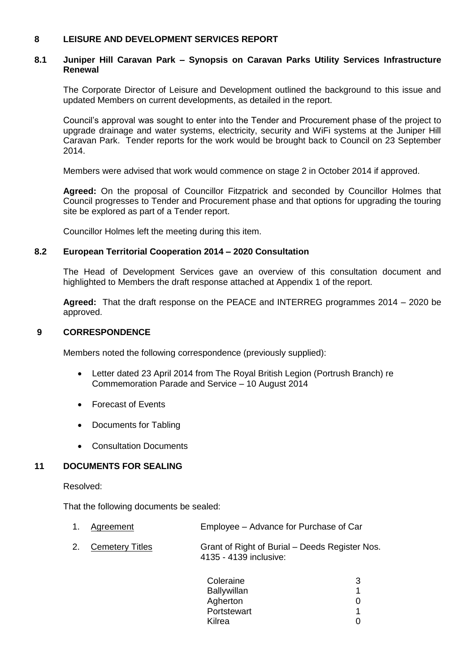# **8 LEISURE AND DEVELOPMENT SERVICES REPORT**

#### **8.1 Juniper Hill Caravan Park – Synopsis on Caravan Parks Utility Services Infrastructure Renewal**

The Corporate Director of Leisure and Development outlined the background to this issue and updated Members on current developments, as detailed in the report.

Council's approval was sought to enter into the Tender and Procurement phase of the project to upgrade drainage and water systems, electricity, security and WiFi systems at the Juniper Hill Caravan Park. Tender reports for the work would be brought back to Council on 23 September 2014.

Members were advised that work would commence on stage 2 in October 2014 if approved.

**Agreed:** On the proposal of Councillor Fitzpatrick and seconded by Councillor Holmes that Council progresses to Tender and Procurement phase and that options for upgrading the touring site be explored as part of a Tender report.

Councillor Holmes left the meeting during this item.

#### **8.2 European Territorial Cooperation 2014 – 2020 Consultation**

The Head of Development Services gave an overview of this consultation document and highlighted to Members the draft response attached at Appendix 1 of the report.

**Agreed:** That the draft response on the PEACE and INTERREG programmes 2014 – 2020 be approved.

## **9 CORRESPONDENCE**

Members noted the following correspondence (previously supplied):

- Letter dated 23 April 2014 from The Royal British Legion (Portrush Branch) re Commemoration Parade and Service – 10 August 2014
- Forecast of Events
- Documents for Tabling
- Consultation Documents

# **11 DOCUMENTS FOR SEALING**

Resolved:

That the following documents be sealed:

| 1. Agreement       | Employee - Advance for Purchase of Car                                   |
|--------------------|--------------------------------------------------------------------------|
| 2. Cemetery Titles | Grant of Right of Burial – Deeds Register Nos.<br>4135 - 4139 inclusive: |

| Coleraine   | З                 |
|-------------|-------------------|
| Ballywillan |                   |
| Agherton    | $\mathbf{\Omega}$ |
| Portstewart | 1                 |
| Kilrea      | $\mathbf{\Omega}$ |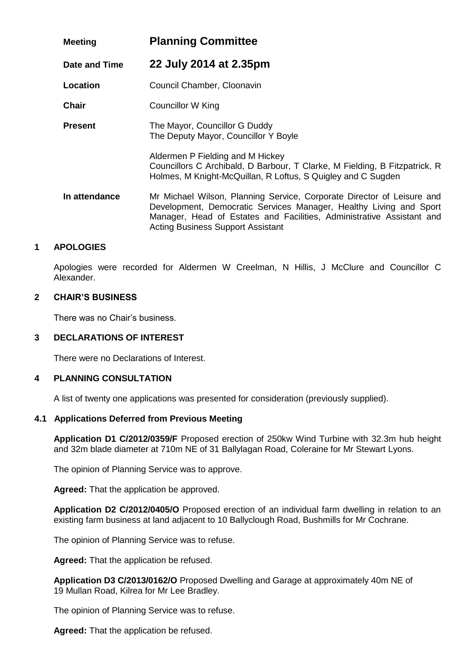| <b>Meeting</b> | <b>Planning Committee</b>                                                                                                                                                                                                                                         |
|----------------|-------------------------------------------------------------------------------------------------------------------------------------------------------------------------------------------------------------------------------------------------------------------|
| Date and Time  | 22 July 2014 at 2.35pm                                                                                                                                                                                                                                            |
| Location       | Council Chamber, Cloonavin                                                                                                                                                                                                                                        |
| <b>Chair</b>   | Councillor W King                                                                                                                                                                                                                                                 |
| <b>Present</b> | The Mayor, Councillor G Duddy<br>The Deputy Mayor, Councillor Y Boyle                                                                                                                                                                                             |
|                | Aldermen P Fielding and M Hickey<br>Councillors C Archibald, D Barbour, T Clarke, M Fielding, B Fitzpatrick, R<br>Holmes, M Knight-McQuillan, R Loftus, S Quigley and C Sugden                                                                                    |
| In attendance  | Mr Michael Wilson, Planning Service, Corporate Director of Leisure and<br>Development, Democratic Services Manager, Healthy Living and Sport<br>Manager, Head of Estates and Facilities, Administrative Assistant and<br><b>Acting Business Support Assistant</b> |

# **1 APOLOGIES**

Apologies were recorded for Aldermen W Creelman, N Hillis, J McClure and Councillor C Alexander.

# **2 CHAIR'S BUSINESS**

There was no Chair's business.

# **3 DECLARATIONS OF INTEREST**

There were no Declarations of Interest.

# **4 PLANNING CONSULTATION**

A list of twenty one applications was presented for consideration (previously supplied).

# **4.1 Applications Deferred from Previous Meeting**

**Application D1 C/2012/0359/F** Proposed erection of 250kw Wind Turbine with 32.3m hub height and 32m blade diameter at 710m NE of 31 Ballylagan Road, Coleraine for Mr Stewart Lyons.

The opinion of Planning Service was to approve.

**Agreed:** That the application be approved.

**Application D2 C/2012/0405/O** Proposed erection of an individual farm dwelling in relation to an existing farm business at land adjacent to 10 Ballyclough Road, Bushmills for Mr Cochrane.

The opinion of Planning Service was to refuse.

**Agreed:** That the application be refused.

**Application D3 C/2013/0162/O** Proposed Dwelling and Garage at approximately 40m NE of 19 Mullan Road, Kilrea for Mr Lee Bradley.

The opinion of Planning Service was to refuse.

**Agreed:** That the application be refused.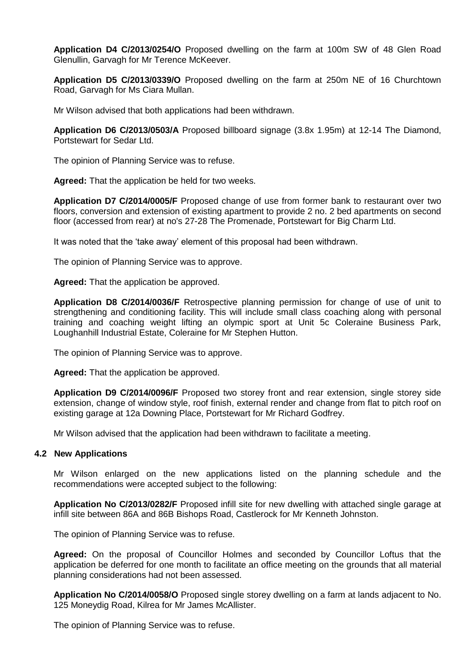**Application D4 C/2013/0254/O** Proposed dwelling on the farm at 100m SW of 48 Glen Road Glenullin, Garvagh for Mr Terence McKeever.

**Application D5 C/2013/0339/O** Proposed dwelling on the farm at 250m NE of 16 Churchtown Road, Garvagh for Ms Ciara Mullan.

Mr Wilson advised that both applications had been withdrawn.

**Application D6 C/2013/0503/A** Proposed billboard signage (3.8x 1.95m) at 12-14 The Diamond, Portstewart for Sedar Ltd.

The opinion of Planning Service was to refuse.

**Agreed:** That the application be held for two weeks.

**Application D7 C/2014/0005/F** Proposed change of use from former bank to restaurant over two floors, conversion and extension of existing apartment to provide 2 no. 2 bed apartments on second floor (accessed from rear) at no's 27-28 The Promenade, Portstewart for Big Charm Ltd.

It was noted that the 'take away' element of this proposal had been withdrawn.

The opinion of Planning Service was to approve.

**Agreed:** That the application be approved.

**Application D8 C/2014/0036/F** Retrospective planning permission for change of use of unit to strengthening and conditioning facility. This will include small class coaching along with personal training and coaching weight lifting an olympic sport at Unit 5c Coleraine Business Park, Loughanhill Industrial Estate, Coleraine for Mr Stephen Hutton.

The opinion of Planning Service was to approve.

**Agreed:** That the application be approved.

**Application D9 C/2014/0096/F** Proposed two storey front and rear extension, single storey side extension, change of window style, roof finish, external render and change from flat to pitch roof on existing garage at 12a Downing Place, Portstewart for Mr Richard Godfrey.

Mr Wilson advised that the application had been withdrawn to facilitate a meeting.

#### **4.2 New Applications**

Mr Wilson enlarged on the new applications listed on the planning schedule and the recommendations were accepted subject to the following:

**Application No C/2013/0282/F** Proposed infill site for new dwelling with attached single garage at infill site between 86A and 86B Bishops Road, Castlerock for Mr Kenneth Johnston.

The opinion of Planning Service was to refuse.

**Agreed:** On the proposal of Councillor Holmes and seconded by Councillor Loftus that the application be deferred for one month to facilitate an office meeting on the grounds that all material planning considerations had not been assessed.

**Application No C/2014/0058/O** Proposed single storey dwelling on a farm at lands adjacent to No. 125 Moneydig Road, Kilrea for Mr James McAllister.

The opinion of Planning Service was to refuse.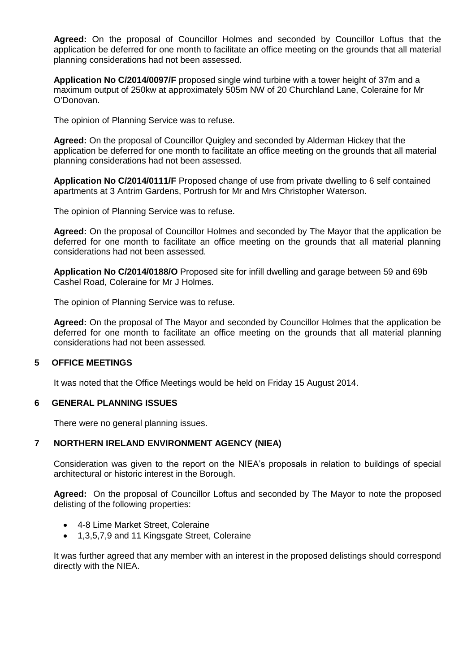**Agreed:** On the proposal of Councillor Holmes and seconded by Councillor Loftus that the application be deferred for one month to facilitate an office meeting on the grounds that all material planning considerations had not been assessed.

**Application No C/2014/0097/F** proposed single wind turbine with a tower height of 37m and a maximum output of 250kw at approximately 505m NW of 20 Churchland Lane, Coleraine for Mr O'Donovan.

The opinion of Planning Service was to refuse.

**Agreed:** On the proposal of Councillor Quigley and seconded by Alderman Hickey that the application be deferred for one month to facilitate an office meeting on the grounds that all material planning considerations had not been assessed.

**Application No C/2014/0111/F** Proposed change of use from private dwelling to 6 self contained apartments at 3 Antrim Gardens, Portrush for Mr and Mrs Christopher Waterson.

The opinion of Planning Service was to refuse.

**Agreed:** On the proposal of Councillor Holmes and seconded by The Mayor that the application be deferred for one month to facilitate an office meeting on the grounds that all material planning considerations had not been assessed.

**Application No C/2014/0188/O** Proposed site for infill dwelling and garage between 59 and 69b Cashel Road, Coleraine for Mr J Holmes.

The opinion of Planning Service was to refuse.

**Agreed:** On the proposal of The Mayor and seconded by Councillor Holmes that the application be deferred for one month to facilitate an office meeting on the grounds that all material planning considerations had not been assessed.

# **5 OFFICE MEETINGS**

It was noted that the Office Meetings would be held on Friday 15 August 2014.

#### **6 GENERAL PLANNING ISSUES**

There were no general planning issues.

# **7 NORTHERN IRELAND ENVIRONMENT AGENCY (NIEA)**

Consideration was given to the report on the NIEA's proposals in relation to buildings of special architectural or historic interest in the Borough.

**Agreed:** On the proposal of Councillor Loftus and seconded by The Mayor to note the proposed delisting of the following properties:

- 4-8 Lime Market Street, Coleraine
- 1,3,5,7,9 and 11 Kingsgate Street, Coleraine

It was further agreed that any member with an interest in the proposed delistings should correspond directly with the NIEA.